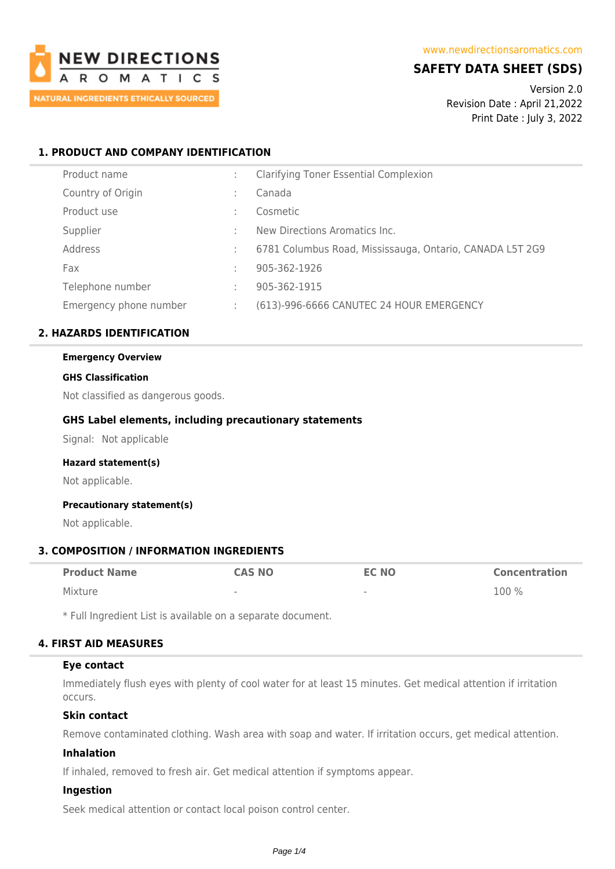

# **SAFETY DATA SHEET (SDS)**

Version 2.0 Revision Date : April 21,2022 Print Date : July 3, 2022

## **1. PRODUCT AND COMPANY IDENTIFICATION**

| Product name           |    | <b>Clarifying Toner Essential Complexion</b>             |
|------------------------|----|----------------------------------------------------------|
| Country of Origin      |    | Canada                                                   |
| Product use            |    | Cosmetic                                                 |
| Supplier               | ÷  | New Directions Aromatics Inc.                            |
| Address                |    | 6781 Columbus Road, Mississauga, Ontario, CANADA L5T 2G9 |
| Fax                    | ÷  | 905-362-1926                                             |
| Telephone number       | ÷  | 905-362-1915                                             |
| Emergency phone number | ÷. | (613)-996-6666 CANUTEC 24 HOUR EMERGENCY                 |

## **2. HAZARDS IDENTIFICATION**

## **Emergency Overview**

#### **GHS Classification**

Not classified as dangerous goods.

### **GHS Label elements, including precautionary statements**

Signal: Not applicable

#### **Hazard statement(s)**

Not applicable.

### **Precautionary statement(s)**

Not applicable.

## **3. COMPOSITION / INFORMATION INGREDIENTS**

| <b>Product Name</b> | <b>CAS NO</b>            | <b>EC NO</b>             | <b>Concentration</b> |
|---------------------|--------------------------|--------------------------|----------------------|
| Mixture             | $\overline{\phantom{a}}$ | $\overline{\phantom{a}}$ | 100 %                |

\* Full Ingredient List is available on a separate document.

### **4. FIRST AID MEASURES**

### **Eye contact**

Immediately flush eyes with plenty of cool water for at least 15 minutes. Get medical attention if irritation occurs.

### **Skin contact**

Remove contaminated clothing. Wash area with soap and water. If irritation occurs, get medical attention.

### **Inhalation**

If inhaled, removed to fresh air. Get medical attention if symptoms appear.

#### **Ingestion**

Seek medical attention or contact local poison control center.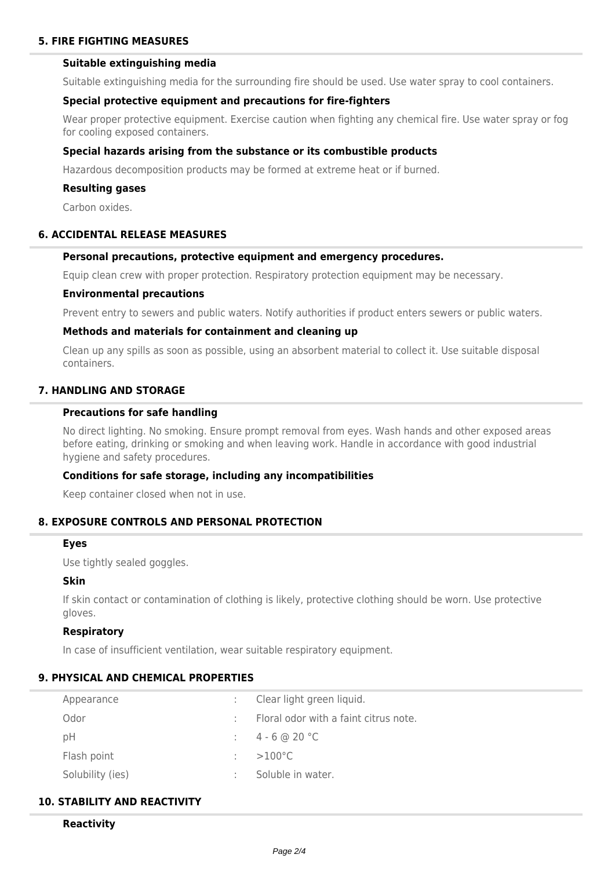### **5. FIRE FIGHTING MEASURES**

## **Suitable extinguishing media**

Suitable extinguishing media for the surrounding fire should be used. Use water spray to cool containers.

#### **Special protective equipment and precautions for fire-fighters**

Wear proper protective equipment. Exercise caution when fighting any chemical fire. Use water spray or fog for cooling exposed containers.

#### **Special hazards arising from the substance or its combustible products**

Hazardous decomposition products may be formed at extreme heat or if burned.

#### **Resulting gases**

Carbon oxides.

## **6. ACCIDENTAL RELEASE MEASURES**

### **Personal precautions, protective equipment and emergency procedures.**

Equip clean crew with proper protection. Respiratory protection equipment may be necessary.

#### **Environmental precautions**

Prevent entry to sewers and public waters. Notify authorities if product enters sewers or public waters.

#### **Methods and materials for containment and cleaning up**

Clean up any spills as soon as possible, using an absorbent material to collect it. Use suitable disposal containers.

## **7. HANDLING AND STORAGE**

#### **Precautions for safe handling**

No direct lighting. No smoking. Ensure prompt removal from eyes. Wash hands and other exposed areas before eating, drinking or smoking and when leaving work. Handle in accordance with good industrial hygiene and safety procedures.

#### **Conditions for safe storage, including any incompatibilities**

Keep container closed when not in use.

#### **8. EXPOSURE CONTROLS AND PERSONAL PROTECTION**

#### **Eyes**

Use tightly sealed goggles.

#### **Skin**

If skin contact or contamination of clothing is likely, protective clothing should be worn. Use protective gloves.

#### **Respiratory**

In case of insufficient ventilation, wear suitable respiratory equipment.

### **9. PHYSICAL AND CHEMICAL PROPERTIES**

| Appearance       | Clear light green liquid.             |
|------------------|---------------------------------------|
| Odor             | Floral odor with a faint citrus note. |
| рH               | $4 - 6$ @ 20 °C                       |
| Flash point      | $>100^{\circ}$ C                      |
| Solubility (ies) | Soluble in water.                     |

## **10. STABILITY AND REACTIVITY**

#### **Reactivity**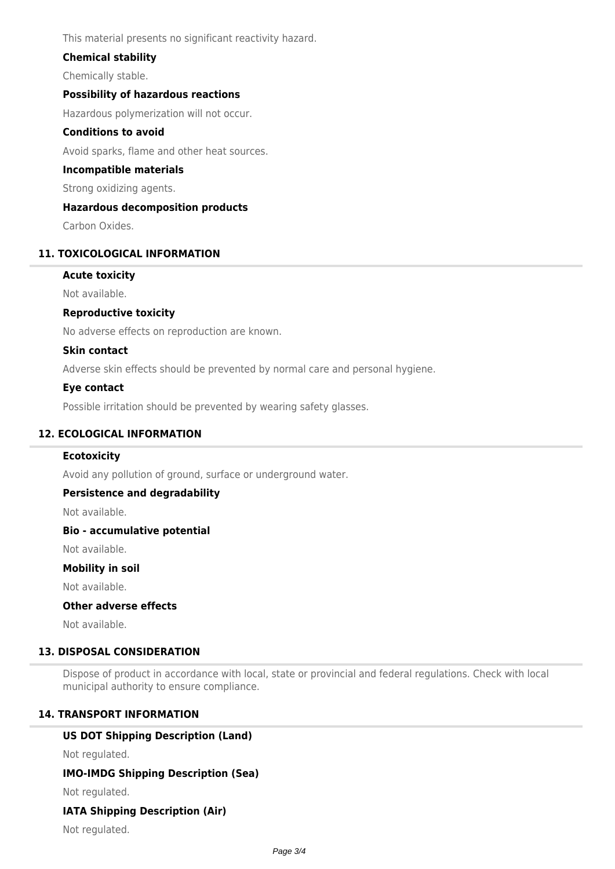This material presents no significant reactivity hazard.

## **Chemical stability**

Chemically stable.

## **Possibility of hazardous reactions**

Hazardous polymerization will not occur.

### **Conditions to avoid**

Avoid sparks, flame and other heat sources.

#### **Incompatible materials**

Strong oxidizing agents.

#### **Hazardous decomposition products**

Carbon Oxides.

#### **11. TOXICOLOGICAL INFORMATION**

#### **Acute toxicity**

Not available.

### **Reproductive toxicity**

No adverse effects on reproduction are known.

### **Skin contact**

Adverse skin effects should be prevented by normal care and personal hygiene.

#### **Eye contact**

Possible irritation should be prevented by wearing safety glasses.

## **12. ECOLOGICAL INFORMATION**

#### **Ecotoxicity**

Avoid any pollution of ground, surface or underground water.

## **Persistence and degradability**

Not available.

#### **Bio - accumulative potential**

Not available.

#### **Mobility in soil**

Not available.

## **Other adverse effects**

Not available.

## **13. DISPOSAL CONSIDERATION**

Dispose of product in accordance with local, state or provincial and federal regulations. Check with local municipal authority to ensure compliance.

### **14. TRANSPORT INFORMATION**

## **US DOT Shipping Description (Land)**

Not regulated.

## **IMO-IMDG Shipping Description (Sea)**

Not regulated.

### **IATA Shipping Description (Air)**

Not regulated.